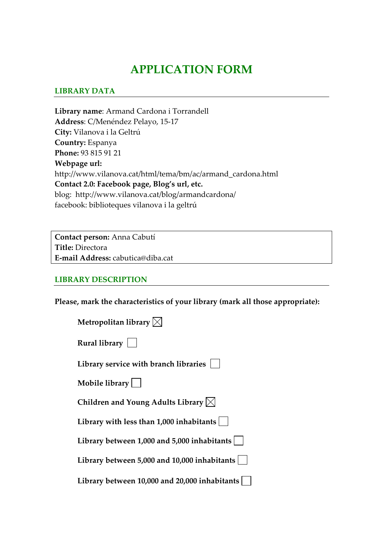# **APPLICATION FORM**

### **LIBRARY DATA**

**Library name**: Armand Cardona i Torrandell **Address**: C/Menéndez Pelayo, 15‐17 **City:** Vilanova i la Geltrú **Country:** Espanya **Phone:** 93 815 91 21 **Webpage url:** http://www.vilanova.cat/html/tema/bm/ac/armand\_cardona.html **Contact 2.0: Facebook page, Blog's url, etc.** blog: http://www.vilanova.cat/blog/armandcardona/ facebook: biblioteques vilanova i la geltrú

**Contact person:** Anna Cabutí **Title:** Directora **E‐mail Address:** cabutica@diba.cat

#### **LIBRARY DESCRIPTION**

**Please, mark the characteristics of your library (mark all those appropriate):**

| Metropolitan library $\boxtimes$ |  |
|----------------------------------|--|
|----------------------------------|--|

| Rural library |  |
|---------------|--|
|---------------|--|

**Library service with branch libraries** 

**Mobile library**

**Children and Young Adults Library**

**Library with less than 1,000 inhabitants**

**Library between 1,000 and 5,000 inhabitants**

**Library between 5,000 and 10,000 inhabitants**

**Library between 10,000 and 20,000 inhabitants**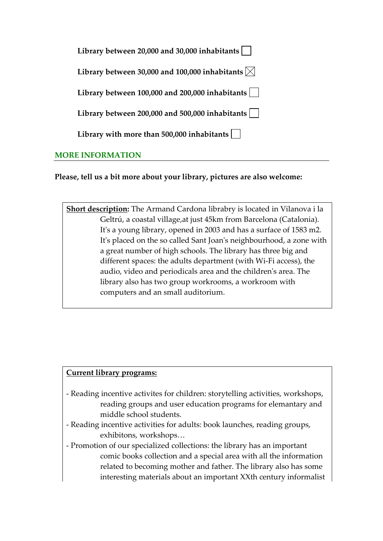| Library between 20,000 and 30,000 inhabitants                         |  |
|-----------------------------------------------------------------------|--|
| Library between 30,000 and 100,000 inhabitants $\vert\mathbf{x}\vert$ |  |
| Library between $100,000$ and $200,000$ inhabitants $\vert$           |  |
| Library between 200,000 and 500,000 inhabitants                       |  |
| Library with more than 500,000 inhabitants $\vert \ \ \vert$          |  |
| <b>MORE INFORMATION</b>                                               |  |

**Please, tell us a bit more about your library, pictures are also welcome:** 

**Short description:** The Armand Cardona librabry is located in Vilanova i la Geltrú, a coastal village,at just 45km from Barcelona (Catalonia). It's a young library, opened in 2003 and has a surface of 1583 m2. It's placed on the so called Sant Joan's neighbourhood, a zone with a great number of high schools. The library has three big and different spaces: the adults department (with Wi‐Fi access), the audio, video and periodicals area and the childrenʹs area. The library also has two group workrooms, a workroom with computers and an small auditorium.

#### **Current library programs:**

- ‐ Reading incentive activites for children: storytelling activities, workshops, reading groups and user education programs for elemantary and middle school students.
- ‐ Reading incentive activities for adults: book launches, reading groups, exhibitons, workshops…
- ‐ Promotion of our specialized collections: the library has an important comic books collection and a special area with all the information related to becoming mother and father. The library also has some interesting materials about an important XXth century informalist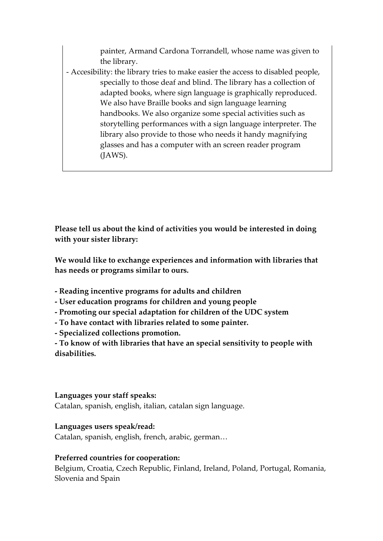painter, Armand Cardona Torrandell, whose name was given to the library.

‐ Accesibility: the library tries to make easier the access to disabled people, specially to those deaf and blind. The library has a collection of adapted books, where sign language is graphically reproduced. We also have Braille books and sign language learning handbooks. We also organize some special activities such as storytelling performances with a sign language interpreter. The library also provide to those who needs it handy magnifying glasses and has a computer with an screen reader program (JAWS). 

**Please tell us about the kind of activities you would be interested in doing with your sister library:**

**We would like to exchange experiences and information with libraries that has needs or programs similar to ours.** 

- **‐ Reading incentive programs for adults and children**
- **‐ User education programs for children and young people**
- **‐ Promoting our special adaptation for children of the UDC system**
- **‐ To have contact with libraries related to some painter.**
- **‐ Specialized collections promotion.**

**‐ To know of with libraries that have an special sensitivity to people with disabilities.**

#### **Languages your staff speaks:**

Catalan, spanish, english, italian, catalan sign language.

# **Languages users speak/read:**

Catalan, spanish, english, french, arabic, german…

# **Preferred countries for cooperation:**

Belgium, Croatia, Czech Republic, Finland, Ireland, Poland, Portugal, Romania, Slovenia and Spain